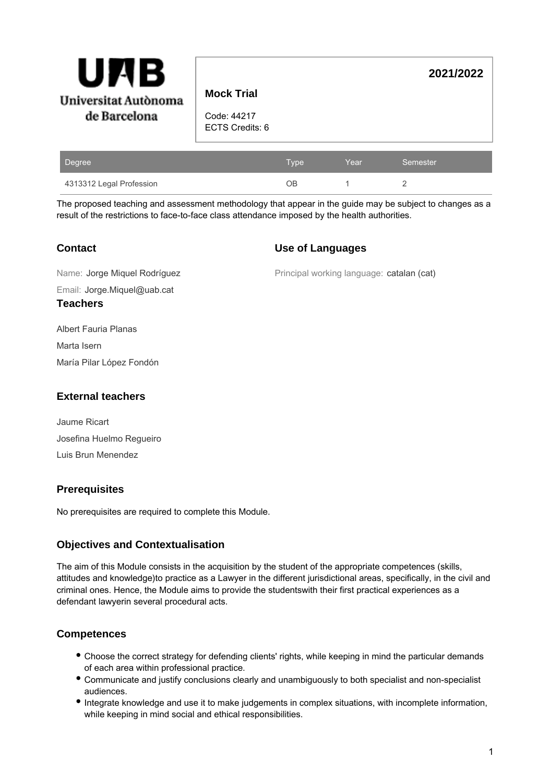

# **Mock Trial**

Code: 44217 ECTS Credits: 6

| Degree                   | Type | Year | Semester |
|--------------------------|------|------|----------|
| 4313312 Legal Profession | ЭB   |      |          |

The proposed teaching and assessment methodology that appear in the guide may be subject to changes as a result of the restrictions to face-to-face class attendance imposed by the health authorities.

### **Contact**

#### **Use of Languages**

Email: Jorge.Miquel@uab.cat Name: Jorge Miquel Rodríguez **Teachers**

Principal working language: catalan (cat)

**2021/2022**

Albert Fauria Planas Marta Isern María Pilar López Fondón

### **External teachers**

Jaume Ricart Josefina Huelmo Regueiro Luis Brun Menendez

## **Prerequisites**

No prerequisites are required to complete this Module.

## **Objectives and Contextualisation**

The aim of this Module consists in the acquisition by the student of the appropriate competences (skills, attitudes and knowledge)to practice as a Lawyer in the different jurisdictional areas, specifically, in the civil and criminal ones. Hence, the Module aims to provide the studentswith their first practical experiences as a defendant lawyerin several procedural acts.

## **Competences**

- Choose the correct strategy for defending clients' rights, while keeping in mind the particular demands of each area within professional practice.
- Communicate and justify conclusions clearly and unambiguously to both specialist and non-specialist audiences.
- Integrate knowledge and use it to make judgements in complex situations, with incomplete information, while keeping in mind social and ethical responsibilities.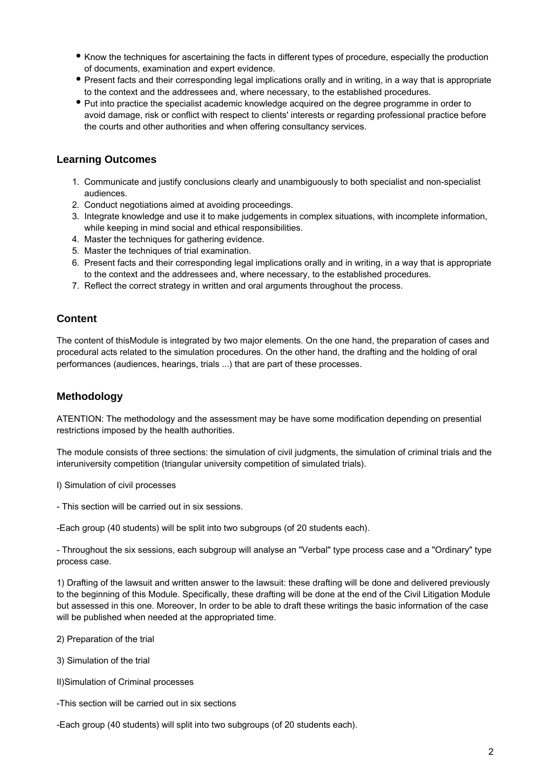- Know the techniques for ascertaining the facts in different types of procedure, especially the production of documents, examination and expert evidence.
- Present facts and their corresponding legal implications orally and in writing, in a way that is appropriate to the context and the addressees and, where necessary, to the established procedures.
- Put into practice the specialist academic knowledge acquired on the degree programme in order to avoid damage, risk or conflict with respect to clients' interests or regarding professional practice before the courts and other authorities and when offering consultancy services.

### **Learning Outcomes**

- 1. Communicate and justify conclusions clearly and unambiguously to both specialist and non-specialist audiences.
- 2. Conduct negotiations aimed at avoiding proceedings.
- 3. Integrate knowledge and use it to make judgements in complex situations, with incomplete information, while keeping in mind social and ethical responsibilities.
- 4. Master the techniques for gathering evidence.
- 5. Master the techniques of trial examination.
- 6. Present facts and their corresponding legal implications orally and in writing, in a way that is appropriate to the context and the addressees and, where necessary, to the established procedures.
- 7. Reflect the correct strategy in written and oral arguments throughout the process.

#### **Content**

The content of thisModule is integrated by two major elements. On the one hand, the preparation of cases and procedural acts related to the simulation procedures. On the other hand, the drafting and the holding of oral performances (audiences, hearings, trials ...) that are part of these processes.

#### **Methodology**

ATENTION: The methodology and the assessment may be have some modification depending on presential restrictions imposed by the health authorities.

The module consists of three sections: the simulation of civil judgments, the simulation of criminal trials and the interuniversity competition (triangular university competition of simulated trials).

- I) Simulation of civil processes
- This section will be carried out in six sessions.

-Each group (40 students) will be split into two subgroups (of 20 students each).

- Throughout the six sessions, each subgroup will analyse an "Verbal" type process case and a "Ordinary" type process case.

1) Drafting of the lawsuit and written answer to the lawsuit: these drafting will be done and delivered previously to the beginning of this Module. Specifically, these drafting will be done at the end of the Civil Litigation Module but assessed in this one. Moreover, In order to be able to draft these writings the basic information of the case will be published when needed at the appropriated time.

2) Preparation of the trial

3) Simulation of the trial

II)Simulation of Criminal processes

- -This section will be carried out in six sections
- -Each group (40 students) will split into two subgroups (of 20 students each).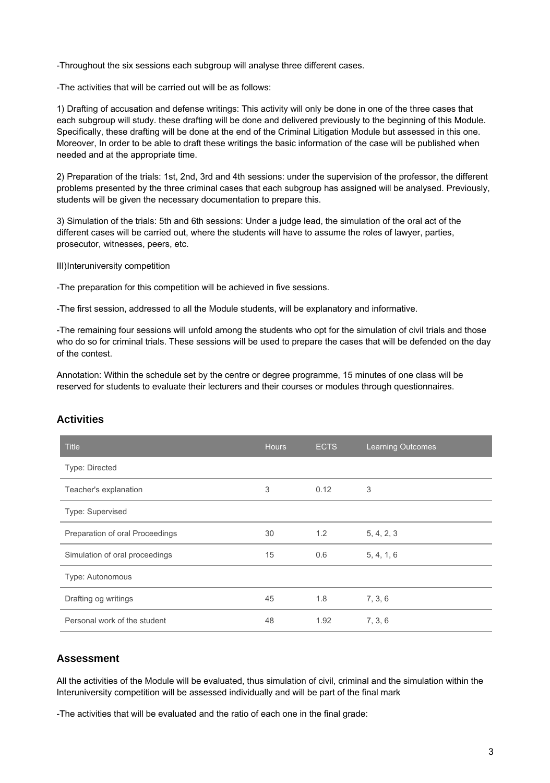-Throughout the six sessions each subgroup will analyse three different cases.

-The activities that will be carried out will be as follows:

1) Drafting of accusation and defense writings: This activity will only be done in one of the three cases that each subgroup will study. these drafting will be done and delivered previously to the beginning of this Module. Specifically, these drafting will be done at the end of the Criminal Litigation Module but assessed in this one. Moreover, In order to be able to draft these writings the basic information of the case will be published when needed and at the appropriate time.

2) Preparation of the trials: 1st, 2nd, 3rd and 4th sessions: under the supervision of the professor, the different problems presented by the three criminal cases that each subgroup has assigned will be analysed. Previously, students will be given the necessary documentation to prepare this.

3) Simulation of the trials: 5th and 6th sessions: Under a judge lead, the simulation of the oral act of the different cases will be carried out, where the students will have to assume the roles of lawyer, parties, prosecutor, witnesses, peers, etc.

III)Interuniversity competition

-The preparation for this competition will be achieved in five sessions.

-The first session, addressed to all the Module students, will be explanatory and informative.

-The remaining four sessions will unfold among the students who opt for the simulation of civil trials and those who do so for criminal trials. These sessions will be used to prepare the cases that will be defended on the day of the contest.

Annotation: Within the schedule set by the centre or degree programme, 15 minutes of one class will be reserved for students to evaluate their lecturers and their courses or modules through questionnaires.

| <b>Title</b>                    | <b>Hours</b> | <b>ECTS</b> | <b>Learning Outcomes</b> |
|---------------------------------|--------------|-------------|--------------------------|
| Type: Directed                  |              |             |                          |
| Teacher's explanation           | 3            | 0.12        | 3                        |
| Type: Supervised                |              |             |                          |
| Preparation of oral Proceedings | 30           | 1.2         | 5, 4, 2, 3               |
| Simulation of oral proceedings  | 15           | 0.6         | 5, 4, 1, 6               |
| Type: Autonomous                |              |             |                          |
| Drafting og writings            | 45           | 1.8         | 7, 3, 6                  |
| Personal work of the student    | 48           | 1.92        | 7, 3, 6                  |

### **Activities**

#### **Assessment**

All the activities of the Module will be evaluated, thus simulation of civil, criminal and the simulation within the Interuniversity competition will be assessed individually and will be part of the final mark

-The activities that will be evaluated and the ratio of each one in the final grade: